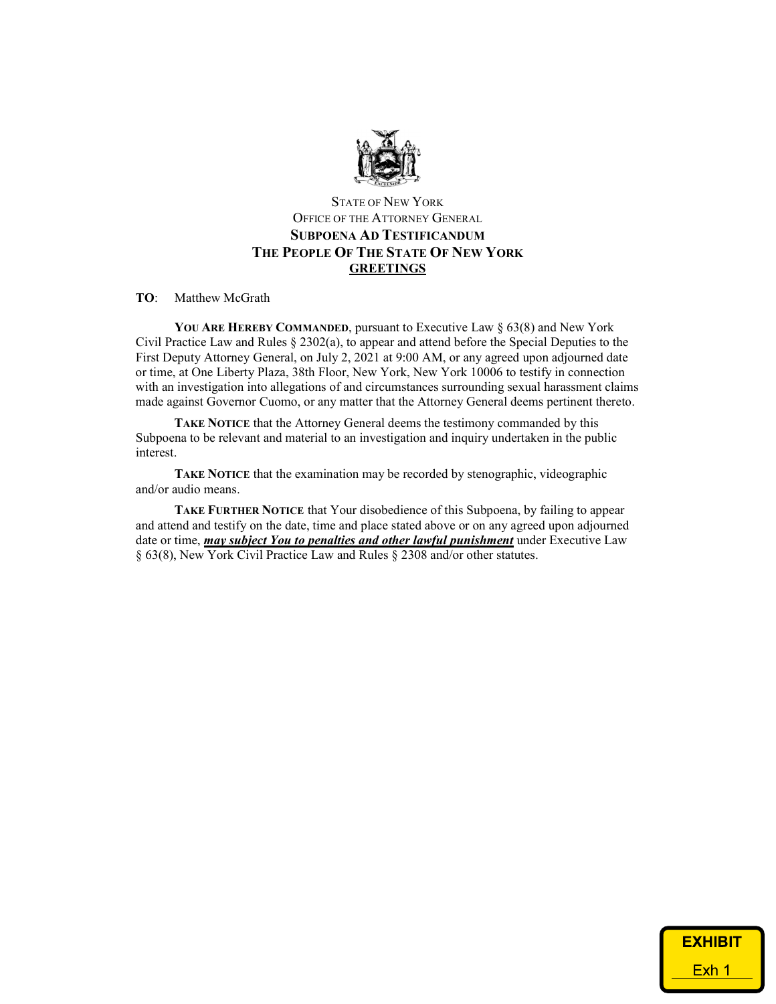

## STATE OF NEW YORK OFFICE OF THE ATTORNEY GENERAL SUBPOENA AD TESTIFICANDUM THE PEOPLE OF THE STATE OF NEW YORK **GREETINGS**

## TO: Matthew McGrath

YOU ARE HEREBY COMMANDED, pursuant to Executive Law § 63(8) and New York Civil Practice Law and Rules § 2302(a), to appear and attend before the Special Deputies to the First Deputy Attorney General, on July 2, 2021 at 9:00 AM, or any agreed upon adjourned date or time, at One Liberty Plaza, 38th Floor, New York, New York 10006 to testify in connection with an investigation into allegations of and circumstances surrounding sexual harassment claims made against Governor Cuomo, or any matter that the Attorney General deems pertinent thereto.

TAKE NOTICE that the Attorney General deems the testimony commanded by this Subpoena to be relevant and material to an investigation and inquiry undertaken in the public interest.

TAKE NOTICE that the examination may be recorded by stenographic, videographic and/or audio means.

TAKE FURTHER NOTICE that Your disobedience of this Subpoena, by failing to appear and attend and testify on the date, time and place stated above or on any agreed upon adjourned date or time, may subject You to penalties and other lawful punishment under Executive Law § 63(8), New York Civil Practice Law and Rules § 2308 and/or other statutes.

| <b>EXHIBIT</b>   |
|------------------|
| Exh <sub>1</sub> |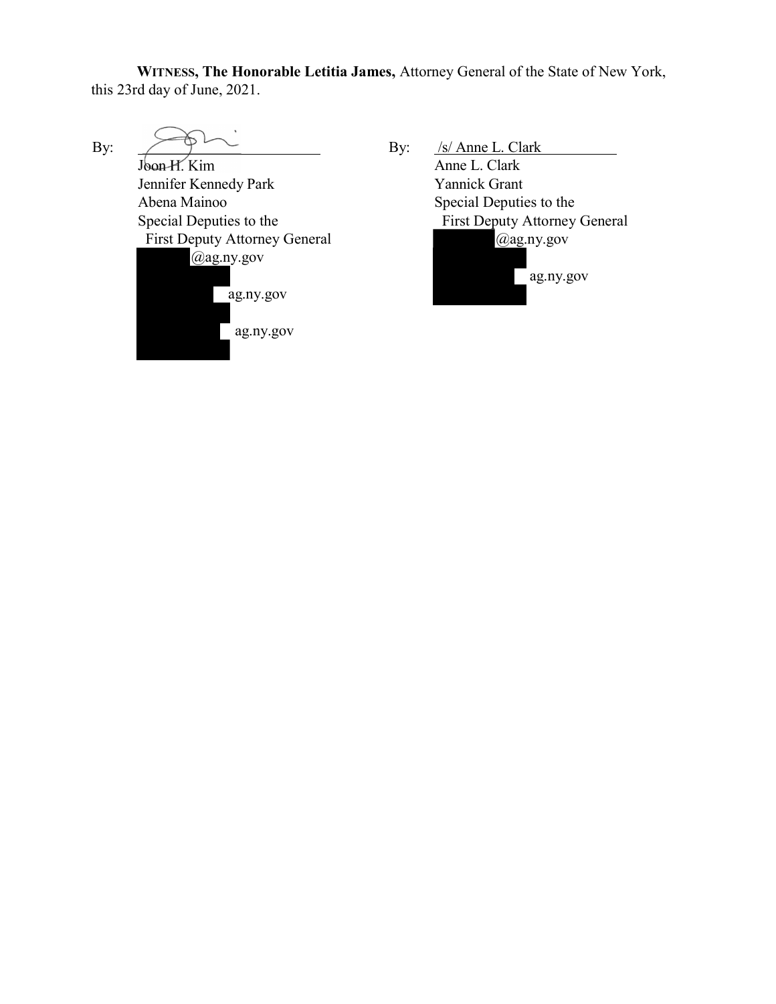WITNESS, The Honorable Letitia James, Attorney General of the State of New York, this 23rd day of June, 2021.

By: Joon H. Kim Jennifer Kennedy Park Abena Mainoo Special Deputies to the First Deputy Attorney General @ag.ny.gov ag.ny.gov ag.ny.gov By: /s/ Anne L. Clark Anne L. Clark Yannick Grant Special Deputies to the First Deputy Attorney General @ag.ny.gov ag.ny.gov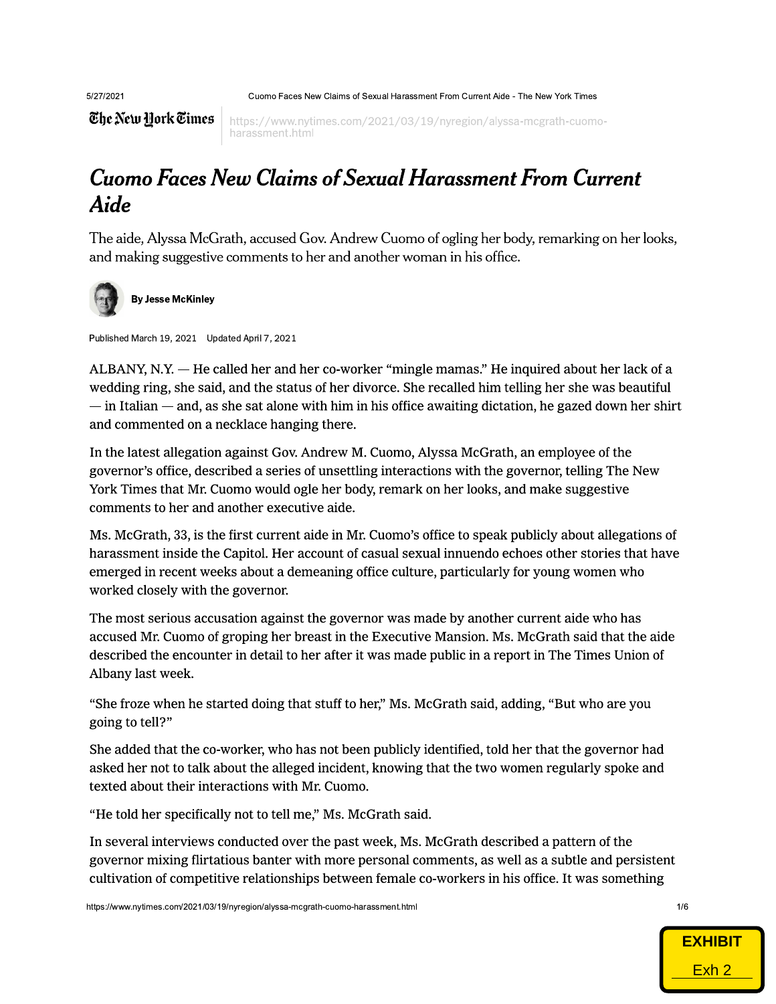5/27/21

5/27/2021 Cuomo Faces New Claims of Sexual Harassment From Current Aide - The New York Times 2021 Cubmi

 $\overline{\mathop{\mathfrak{E} \mathfrak{he}\mathfrak{we}}\mathop{\mathfrak{U} \text{or}}\mathop{\mathfrak{k} \text{e}\mathfrak{time}\mathfrak{s}}\mid}$  https://www.nytimes.com/2021/03/19/nyregion/alyssa-mcgrath-cuomoharassment.html

## Cuomo Faces New Claims of Sexual Harassment From Current Aide **Aide**

The aide, Alyssa McGrath, accused Gov. Andrew Cuomo of ogling her body, remarking on her looks, and making suggestive comments to her and another woman in his office.



By Jesse McKinley

Published March 19, 2021 Updated April 7, 2021

ALBANY, N.Y. — He called her and her co-worker "mingle mamas." He inquired about her lack of a wedding ring, she said, and the status of her divorce. She recalled him telling her she was beautiful ¡  $-$  in Italian  $-$  and, as she sat alone with him in his office awaiting dictation, he gazed down her shirt and commented on a necklace hanging there.

In the latest allegation against Gov. Andrew M. Cuomo, Alyssa McGrath, an employee of the governor's office, described a series of unsettling interactions with the governor, telling The New York Times that Mr. Cuomo would ogle her body, remark on her looks, and make suggestive comments to her and another executive aide.

Ms. McGrath, 33, is the first current aide in Mr. Cuomo's office to speak publicly about allegations of harassment inside the Capitol. Her account of casual sexual innuendo echoes other stories that have emerged in recent weeks about a demeaning office culture, particularly for young women who worked closely with the governor. §

The most serious accusation against the governor was made by another current aide who has accused Mr. Cuomo of groping her breast in the Executive Mansion. Ms. McGrath said that the aide described the encounter in detail to her after it was made public in a report in The Times Union of Albany last week. §

"She froze when he started doing that stuff to her," Ms. McGrath said, adding, "But who are you going to tell?"

She added that the co-worker, who has not been publicly identified, told her that the governor had asked her not to talk about the alleged incident, knowing that the two women regularly spoke and texted about their interactions with Mr. Cuomo.

"He told her specifically not to tell me," Ms. McGrath said.  $\;$ 

In several interviews conducted over the past week, Ms. McGrath described a pattern of the governor mixing flirtatious banter with more personal comments, as well as a subtle and persistent cultivation of competitive relationships between female co-workers in his office. It was something reral interviews conducted ov<br>
nor mixing flirtatious banter<br>
ation of competitive relations<br>
<sub>W.nytimes.com/2021/03/19/nyregion/alyssa-n</sub>

https://www.nytimes.com/2021/03/19/nyregion/alyssa-mcgrath-cuomo-harassment.html 1/6

EXHIBIT **EXHIBIT** Exh 2 Exh 2

 $1/6$ 1/6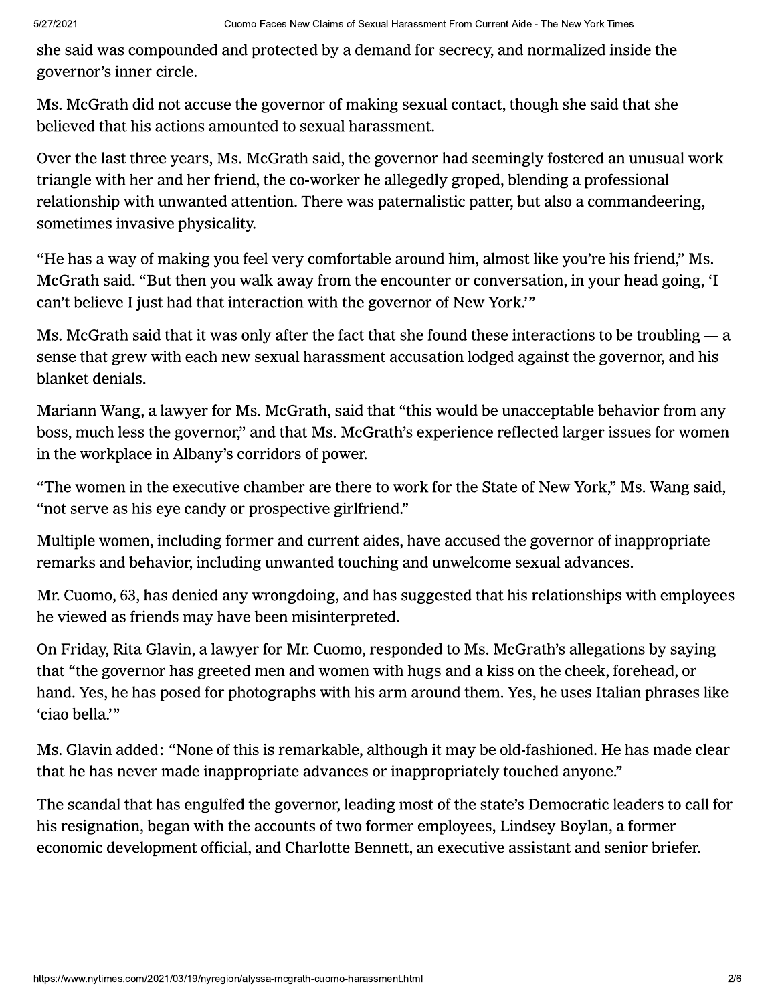she said was compounded and protected by a demand for secrecy, and normalized inside the governor's inner circle.

Ms. McGrath did not accuse the governor of making sexual contact, though she said that she believed that his actions amounted to sexual harassment.

Over the last three years, Ms. McGrath said, the governor had seemingly fostered an unusual work triangle with her and her friend, the co-worker he allegedly groped, blending a professional relationship with unwanted attention. There was paternalistic patter, but also a commandeering, sometimes invasive physicality.

"He has a way of making you feel very comfortable around him, almost like you're his friend," Ms. McGrath said. "But then you walk away from the encounter or conversation, in your head going, 'I can't believe I just had that interaction with the governor of New York."

Ms. McGrath said that it was only after the fact that she found these interactions to be troubling  $-$  a sense that grew with each new sexual harassment accusation lodged against the governor, and his blanket denials.

Mariann Wang, a lawyer for Ms. McGrath, said that "this would be unacceptable behavior from any boss, much less the governor," and that Ms. McGrath's experience reflected larger issues for women in the workplace in Albany's corridors of power.

"The women in the executive chamber are there to work for the State of New York," Ms. Wang said, "not serve as his eye candy or prospective girlfriend."

Multiple women, including former and current aides, have accused the governor of inappropriate remarks and behavior, including unwanted touching and unwelcome sexual advances.

Mr. Cuomo, 63, has denied any wrongdoing, and has suggested that his relationships with employees he viewed as friends may have been misinterpreted.

On Friday, Rita Glavin, a lawyer for Mr. Cuomo, responded to Ms. McGrath's allegations by saying that "the governor has greeted men and women with hugs and a kiss on the cheek, forehead, or hand. Yes, he has posed for photographs with his arm around them. Yes, he uses Italian phrases like 'ciao bella.'"

Ms. Glavin added: "None of this is remarkable, although it may be old-fashioned. He has made clear that he has never made inappropriate advances or inappropriately touched anyone."

The scandal that has engulfed the governor, leading most of the state's Democratic leaders to call for his resignation, began with the accounts of two former employees, Lindsey Boylan, a former economic development official, and Charlotte Bennett, an executive assistant and senior briefer.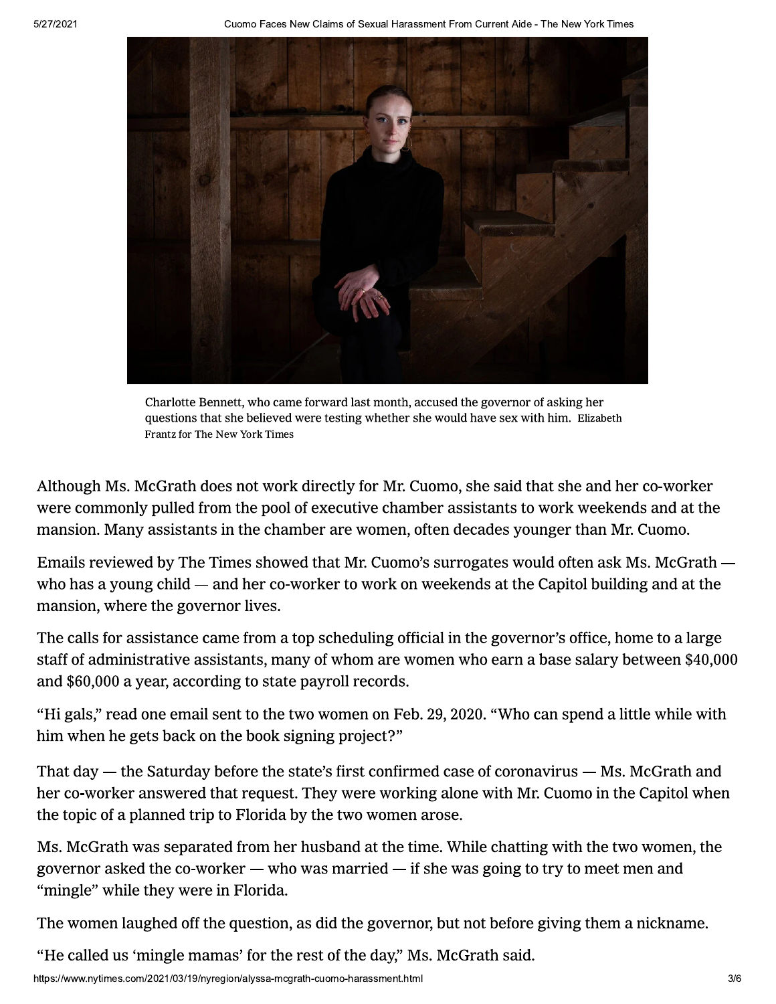5/27/2021 Cuomo Faces New Claims of Sexual Harassment From Current Aide - The New York Times   ! "



Charlotte Bennett, who came forward last month, accused the governor of asking her questions that she believed were testing whether she would have sex with him. Elizabeth Frantz for The New York Times

Although Ms. McGrath does not work directly for Mr. Cuomo, she said that she and her co-worker were commonly pulled from the pool of executive chamber assistants to work weekends and at the mansion. Many assistants in the chamber are women, often decades younger than Mr. Cuomo.

Emails reviewed by The Times showed that Mr. Cuomo's surrogates would often ask Ms. McGrath who has a young child — and her co-worker to work on weekends at the Capitol building and at the mansion, where the governor lives.

The calls for assistance came from a top scheduling official in the governor's office, home to a large staff of administrative assistants, many of whom are women who earn a base salary between \$40,000 and \$60,000 a year, according to state payroll records.

"Hi gals," read one email sent to the two women on Feb. 29, 2020. "Who can spend a little while with him when he gets back on the book signing project?"

That day — the Saturday before the state's first confirmed case of coronavirus — Ms. McGrath and her co-worker answered that request. They were working alone with Mr. Cuomo in the Capitol when the topic of a planned trip to Florida by the two women arose.

Ms. McGrath was separated from her husband at the time. While chatting with the two women, the governor asked the co-worker — who was married — if she was going to try to meet men and "mingle" while they were in Florida.  $\;$ 

The women laughed off the question, as did the governor, but not before giving them a nickname. rle" while they were in Florida<br>
romen laughed off the questio<br>
alled us 'mingle mamas' for th<br>
w.nytimes.com/2021/03/19/nyregion/alyssa-n or, but not before giving them a nickname.<br>'s. McGrath said.<br>'

"He called us 'mingle mamas' for the rest of the day," Ms. McGrath said.  $\,$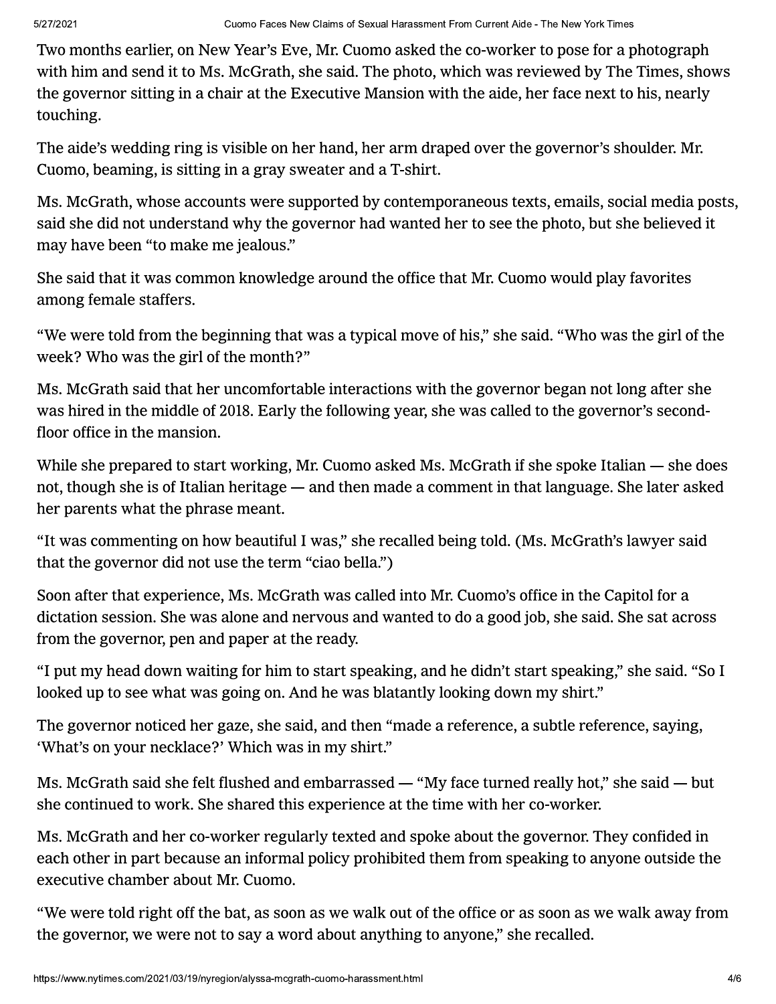Two months earlier, on New Year's Eve. Mr. Cuomo asked the co-worker to pose for a photograph with him and send it to Ms. McGrath, she said. The photo, which was reviewed by The Times, shows the governor sitting in a chair at the Executive Mansion with the aide, her face next to his, nearly touching.

The aide's wedding ring is visible on her hand, her arm draped over the governor's shoulder. Mr. Cuomo, beaming, is sitting in a gray sweater and a T-shirt.

Ms. McGrath, whose accounts were supported by contemporaneous texts, emails, social media posts, said she did not understand why the governor had wanted her to see the photo, but she believed it may have been "to make me jealous."

She said that it was common knowledge around the office that Mr. Cuomo would play favorites among female staffers.

"We were told from the beginning that was a typical move of his," she said. "Who was the girl of the week? Who was the girl of the month?"

Ms. McGrath said that her uncomfortable interactions with the governor began not long after she was hired in the middle of 2018. Early the following year, she was called to the governor's secondfloor office in the mansion.

While she prepared to start working, Mr. Cuomo asked Ms. McGrath if she spoke Italian — she does not, though she is of Italian heritage — and then made a comment in that language. She later asked her parents what the phrase meant.

"It was commenting on how beautiful I was," she recalled being told. (Ms. McGrath's lawyer said that the governor did not use the term "ciao bella.")

Soon after that experience, Ms. McGrath was called into Mr. Cuomo's office in the Capitol for a dictation session. She was alone and nervous and wanted to do a good job, she said. She sat across from the governor, pen and paper at the ready.

If put my head down waiting for him to start speaking, and he didn't start speaking," she said. "So I looked up to see what was going on. And he was blatantly looking down my shirt."

The governor noticed her gaze, she said, and then "made a reference, a subtle reference, saying, 'What's on your necklace?' Which was in my shirt."

Ms. McGrath said she felt flushed and embarrassed  $-$  "My face turned really hot," she said  $-$  but she continued to work. She shared this experience at the time with her co-worker.

Ms. McGrath and her co-worker regularly texted and spoke about the governor. They confided in each other in part because an informal policy prohibited them from speaking to anyone outside the executive chamber about Mr. Cuomo.

were told right off the bat, as s<br>
wernor, we were not to say a<br>
w.nytimes.com/2021/03/19/nyregion/alyssa-n "We were told right off the bat, as soon as we walk out of the office or as soon as we walk away from the governor, we were not to say a word about anything to anyone," she recalled.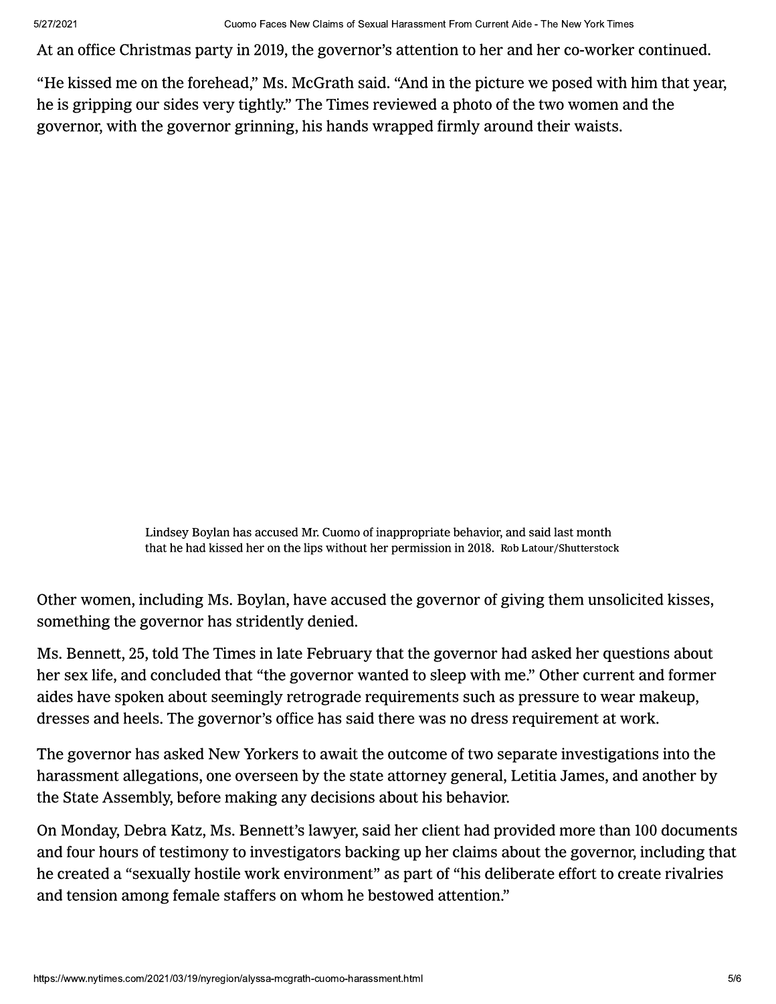At an office Christmas party in 2019, the governor's attention to her and her co-worker continued.

"He kissed me on the forehead," Ms. McGrath said. "And in the picture we posed with him that year, he is gripping our sides very tightly." The Times reviewed a photo of the two women and the governor, with the governor grinning, his hands wrapped firmly around their waists.

> Lindsey Boylan has accused Mr. Cuomo of inappropriate behavior, and said last month that he had kissed her on the lips without her permission in 2018. Rob Latour/Shutterstock

Other women, including Ms. Boylan, have accused the governor of giving them unsolicited kisses, something the governor has stridently denied.

Ms. Bennett, 25, told The Times in late February that the governor had asked her questions about her sex life, and concluded that "the governor wanted to sleep with me." Other current and former aides have spoken about seemingly retrograde requirements such as pressure to wear makeup, dresses and heels. The governor's office has said there was no dress requirement at work.

The governor has asked New Yorkers to await the outcome of two separate investigations into the harassment allegations, one overseen by the state attorney general, Letitia James, and another by the State Assembly, before making any decisions about his behavior.

ension among female staffers<br>
w.nytimes.com/2021/03/19/nyregion/alyssa-n On Monday, Debra Katz, Ms. Bennett's lawyer, said her client had provided more than 100 documents and four hours of testimony to investigators backing up her claims about the governor, including that he created a "sexually hostile work environment" as part of "his deliberate effort to create rivalries and tension among female staffers on whom he bestowed attention."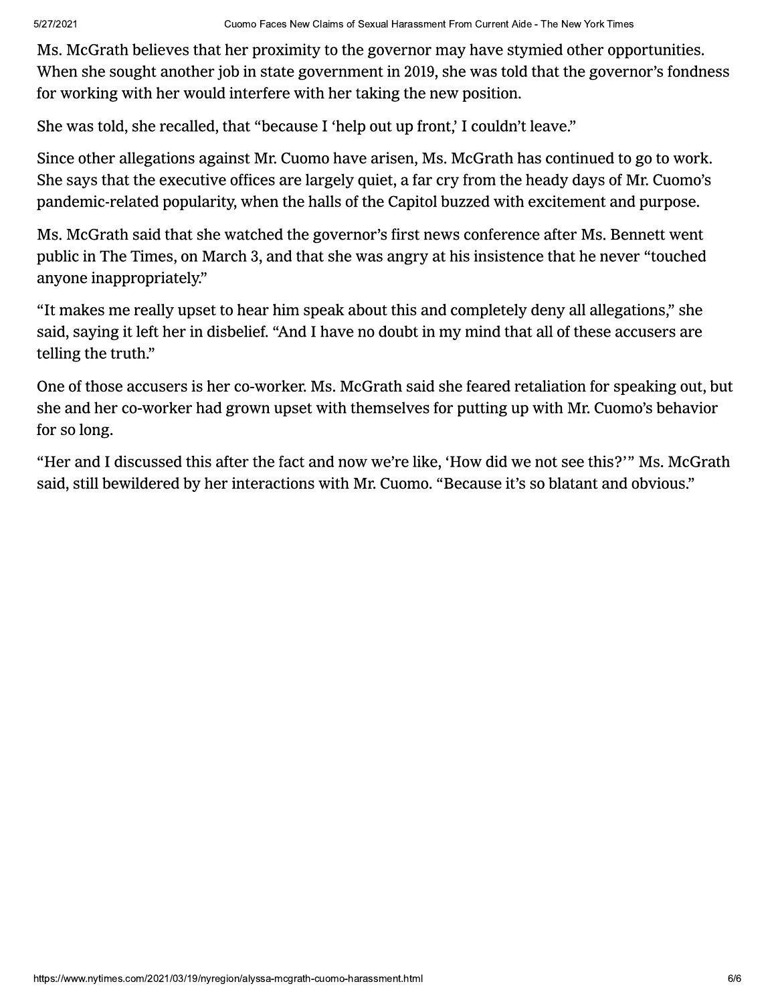Ms. McGrath believes that her proximity to the governor may have stymied other opportunities. When she sought another job in state government in 2019, she was told that the governor's fondness for working with her would interfere with her taking the new position.

She was told, she recalled, that "because I 'help out up front,' I couldn't leave."

Since other allegations against Mr. Cuomo have arisen, Ms. McGrath has continued to go to work. She says that the executive offices are largely quiet, a far cry from the heady days of Mr. Cuomo's pandemic-related popularity, when the halls of the Capitol buzzed with excitement and purpose.

Ms. McGrath said that she watched the governor's first news conference after Ms. Bennett went public in The Times, on March 3, and that she was angry at his insistence that he never "touched anyone inappropriately."

"It makes me really upset to hear him speak about this and completely deny all allegations," she said, saying it left her in disbelief. "And I have no doubt in my mind that all of these accusers are telling the truth."

One of those accusers is her co-worker. Ms. McGrath said she feared retaliation for speaking out, but she and her co-worker had grown upset with themselves for putting up with Mr. Cuomo's behavior for so long.

"Her and I discussed this after the fact and now we're like, 'How did we not see this?'" Ms. McGrath said, still bewildered by her interactions with Mr. Cuomo. "Because it's so blatant and obvious."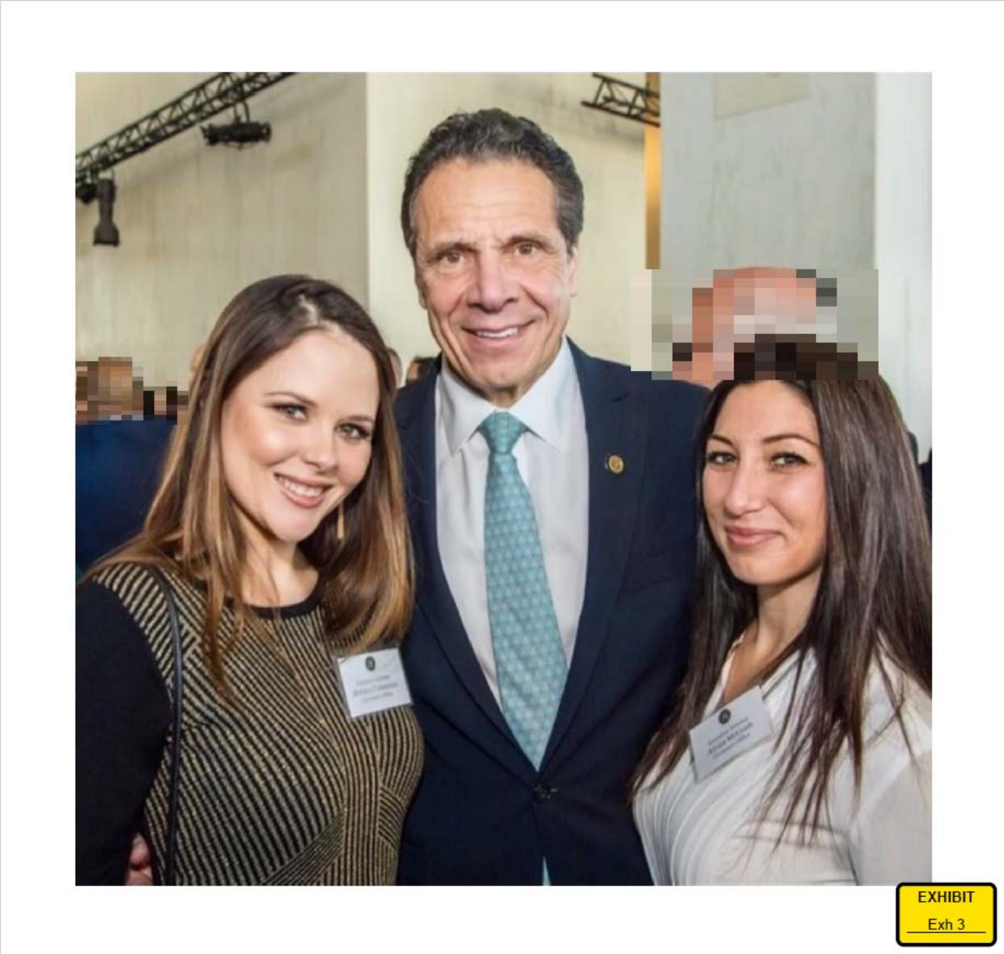

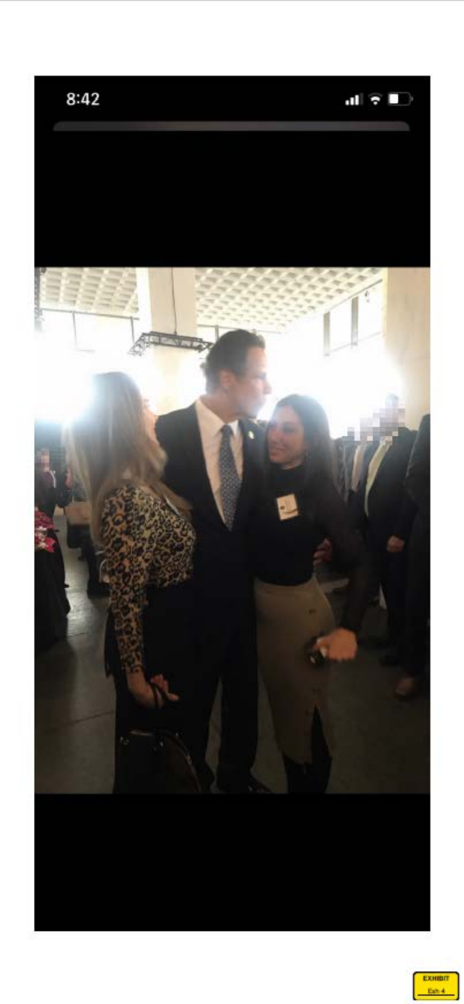

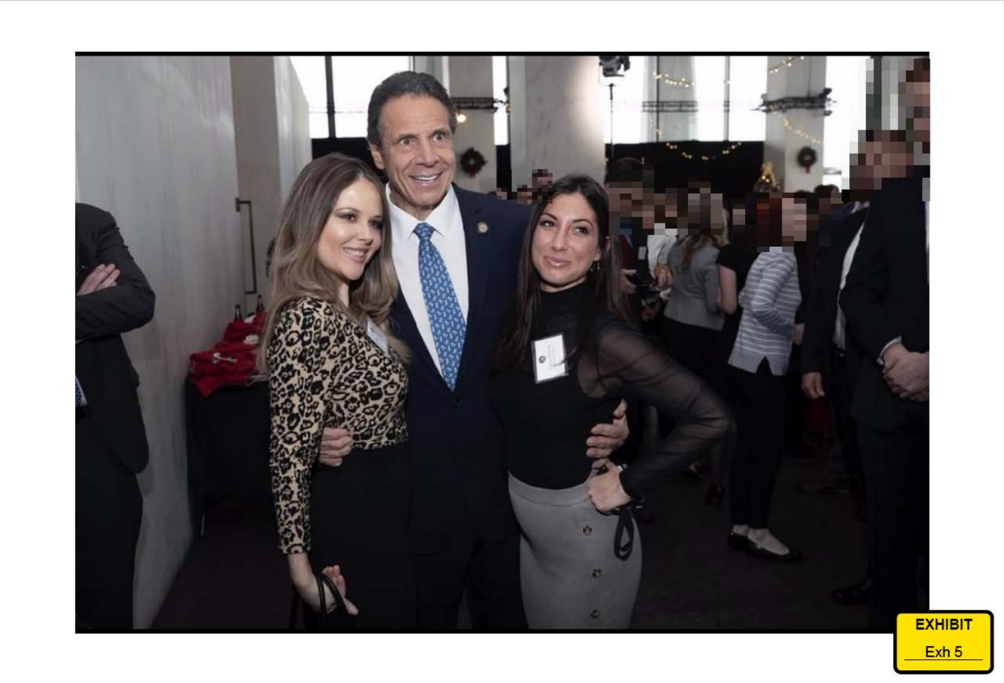

Exh 5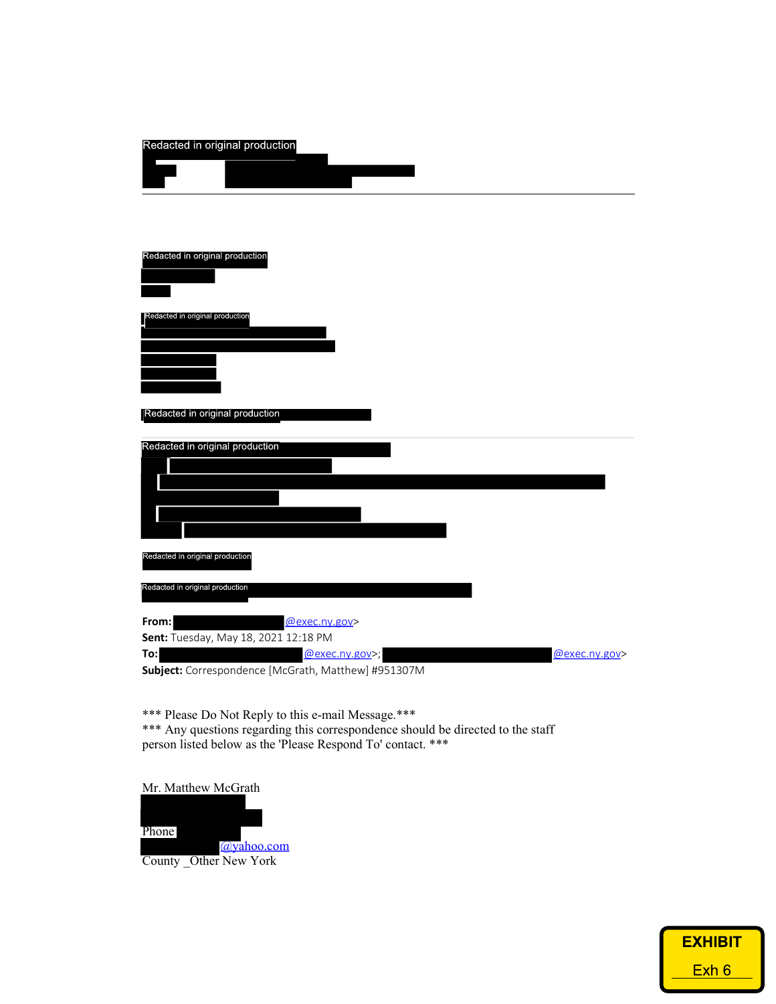| Redacted in original production                                                               |
|-----------------------------------------------------------------------------------------------|
| Redacted in original production                                                               |
| Redacted in original production<br>Redacted in original production                            |
|                                                                                               |
|                                                                                               |
| Redacted in original production<br>Redacted in original production                            |
| @exec.ny.gov><br>From:<br>Sent: Tuesday, May 18, 2021 12:18 PM                                |
| To:<br>@exec.ny.gov>;<br>@exec.ny.gov><br>Subject: Correspondence [McGrath, Matthew] #951307M |

\*\*\* Please Do Not Reply to this e-mail Message.\*\*\* \*\*\* Any questions regarding this correspondence should be directed to the staff person listed below as the 'Please Respond To' contact. \*\*\*

Mr. Matthew McGrath



Redacted in original production

| <u>EXHIBIT</u> |      |
|----------------|------|
|                |      |
|                | Exh6 |